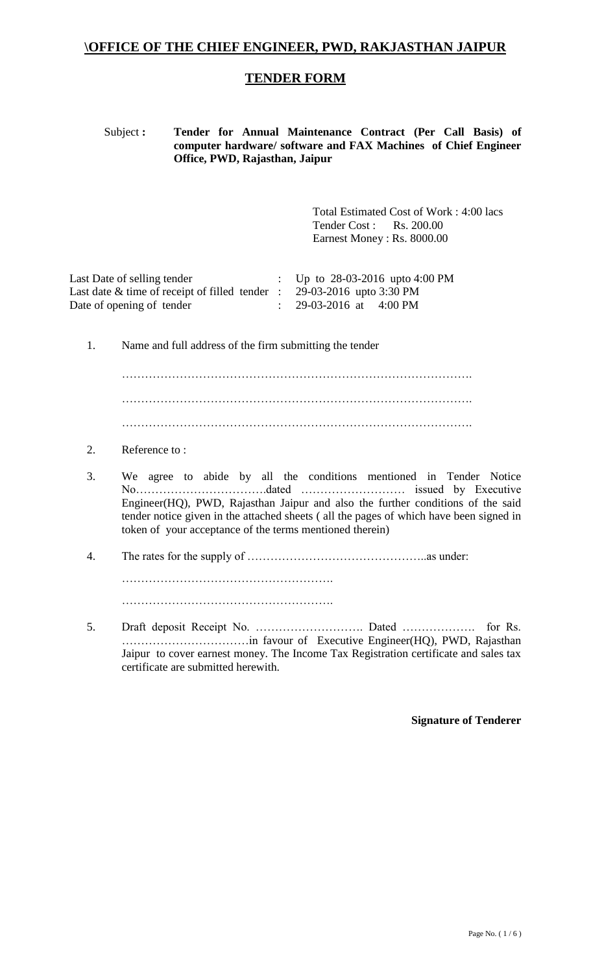### **\OFFICE OF THE CHIEF ENGINEER, PWD, RAKJASTHAN JAIPUR**

#### **TENDER FORM**

#### Subject **: Tender for Annual Maintenance Contract (Per Call Basis) of computer hardware/ software and FAX Machines of Chief Engineer Office, PWD, Rajasthan, Jaipur**

Total Estimated Cost of Work : 4:00 lacs Tender Cost : Rs. 200.00 Earnest Money : Rs. 8000.00

| Last Date of selling tender                       | : Up to $28-03-2016$ upto $4:00 \text{ PM}$ |
|---------------------------------------------------|---------------------------------------------|
| Last date $\&$ time of receipt of filled tender : | 29-03-2016 upto 3:30 PM                     |
| Date of opening of tender                         | 29-03-2016 at 4:00 PM                       |

1. Name and full address of the firm submitting the tender

………………………………………………………………………………. ……………………………………………………………………………….

- 2. Reference to :
- 3. We agree to abide by all the conditions mentioned in Tender Notice No…………………………….dated ……………………… issued by Executive Engineer(HQ), PWD, Rajasthan Jaipur and also the further conditions of the said tender notice given in the attached sheets ( all the pages of which have been signed in token of your acceptance of the terms mentioned therein)
- 4. The rates for the supply of ………………………………………..as under: ………………………………………………. ……………………………………………….
- 5. Draft deposit Receipt No. ………………………. Dated ………………. for Rs. ……………………………in favour of Executive Engineer(HQ), PWD, Rajasthan Jaipur to cover earnest money. The Income Tax Registration certificate and sales tax certificate are submitted herewith.

#### **Signature of Tenderer**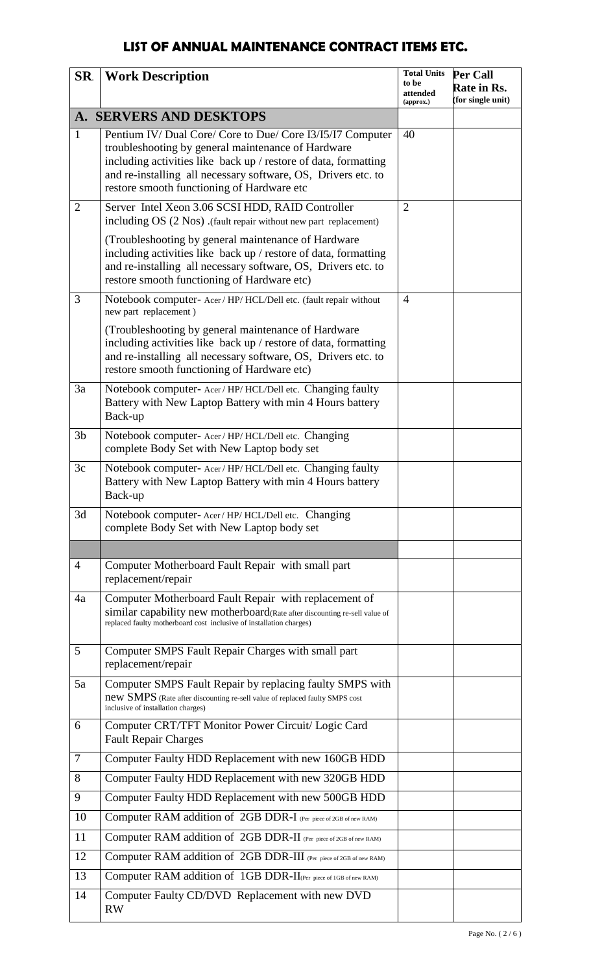# **LIST OF ANNUAL MAINTENANCE CONTRACT ITEMS ETC.**

| SR.            | <b>Work Description</b>                                                                                                                                                                                                                                                                            | <b>Total Units</b><br>to be<br>attended<br>$\left($ approx. $\right)$ | <b>Per Call</b><br>Rate in Rs.<br>(for single unit) |
|----------------|----------------------------------------------------------------------------------------------------------------------------------------------------------------------------------------------------------------------------------------------------------------------------------------------------|-----------------------------------------------------------------------|-----------------------------------------------------|
|                | A. SERVERS AND DESKTOPS                                                                                                                                                                                                                                                                            |                                                                       |                                                     |
| $\mathbf{1}$   | Pentium IV/ Dual Core/ Core to Due/ Core I3/I5/I7 Computer<br>troubleshooting by general maintenance of Hardware<br>including activities like back up / restore of data, formatting<br>and re-installing all necessary software, OS, Drivers etc. to<br>restore smooth functioning of Hardware etc | 40                                                                    |                                                     |
| $\overline{2}$ | Server Intel Xeon 3.06 SCSI HDD, RAID Controller<br>including OS (2 Nos) (fault repair without new part replacement)                                                                                                                                                                               | $\overline{2}$                                                        |                                                     |
|                | (Troubleshooting by general maintenance of Hardware<br>including activities like back up / restore of data, formatting<br>and re-installing all necessary software, OS, Drivers etc. to<br>restore smooth functioning of Hardware etc)                                                             |                                                                       |                                                     |
| 3              | Notebook computer- Acer / HP/ HCL/Dell etc. (fault repair without<br>new part replacement)                                                                                                                                                                                                         | $\overline{4}$                                                        |                                                     |
|                | (Troubleshooting by general maintenance of Hardware<br>including activities like back up / restore of data, formatting<br>and re-installing all necessary software, OS, Drivers etc. to<br>restore smooth functioning of Hardware etc)                                                             |                                                                       |                                                     |
| 3a             | Notebook computer- Acer/HP/HCL/Dell etc. Changing faulty<br>Battery with New Laptop Battery with min 4 Hours battery<br>Back-up                                                                                                                                                                    |                                                                       |                                                     |
| 3 <sub>b</sub> | Notebook computer- Acer/HP/HCL/Dell etc. Changing<br>complete Body Set with New Laptop body set                                                                                                                                                                                                    |                                                                       |                                                     |
| 3c             | Notebook computer- Acer/HP/HCL/Dell etc. Changing faulty<br>Battery with New Laptop Battery with min 4 Hours battery<br>Back-up                                                                                                                                                                    |                                                                       |                                                     |
| 3d             | Notebook computer-Acer/HP/HCL/Dell etc. Changing<br>complete Body Set with New Laptop body set                                                                                                                                                                                                     |                                                                       |                                                     |
|                |                                                                                                                                                                                                                                                                                                    |                                                                       |                                                     |
| $\overline{4}$ | Computer Motherboard Fault Repair with small part<br>replacement/repair                                                                                                                                                                                                                            |                                                                       |                                                     |
| 4a             | Computer Motherboard Fault Repair with replacement of<br>similar capability new motherboard(Rate after discounting re-sell value of<br>replaced faulty motherboard cost inclusive of installation charges)                                                                                         |                                                                       |                                                     |
| 5              | Computer SMPS Fault Repair Charges with small part<br>replacement/repair                                                                                                                                                                                                                           |                                                                       |                                                     |
| 5a             | Computer SMPS Fault Repair by replacing faulty SMPS with<br>new SMPS (Rate after discounting re-sell value of replaced faulty SMPS cost<br>inclusive of installation charges)                                                                                                                      |                                                                       |                                                     |
| 6              | Computer CRT/TFT Monitor Power Circuit/ Logic Card<br><b>Fault Repair Charges</b>                                                                                                                                                                                                                  |                                                                       |                                                     |
| $\tau$         | Computer Faulty HDD Replacement with new 160GB HDD                                                                                                                                                                                                                                                 |                                                                       |                                                     |
| 8              | Computer Faulty HDD Replacement with new 320GB HDD                                                                                                                                                                                                                                                 |                                                                       |                                                     |
| 9              | Computer Faulty HDD Replacement with new 500GB HDD                                                                                                                                                                                                                                                 |                                                                       |                                                     |
| 10             | Computer RAM addition of 2GB DDR-I (Per piece of 2GB of new RAM)                                                                                                                                                                                                                                   |                                                                       |                                                     |
| 11             | Computer RAM addition of 2GB DDR-II (Per piece of 2GB of new RAM)                                                                                                                                                                                                                                  |                                                                       |                                                     |
| 12             | Computer RAM addition of 2GB DDR-III (Per piece of 2GB of new RAM)                                                                                                                                                                                                                                 |                                                                       |                                                     |
| 13             | Computer RAM addition of 1GB DDR-II(Per piece of 1GB of new RAM)                                                                                                                                                                                                                                   |                                                                       |                                                     |
| 14             | Computer Faulty CD/DVD Replacement with new DVD<br><b>RW</b>                                                                                                                                                                                                                                       |                                                                       |                                                     |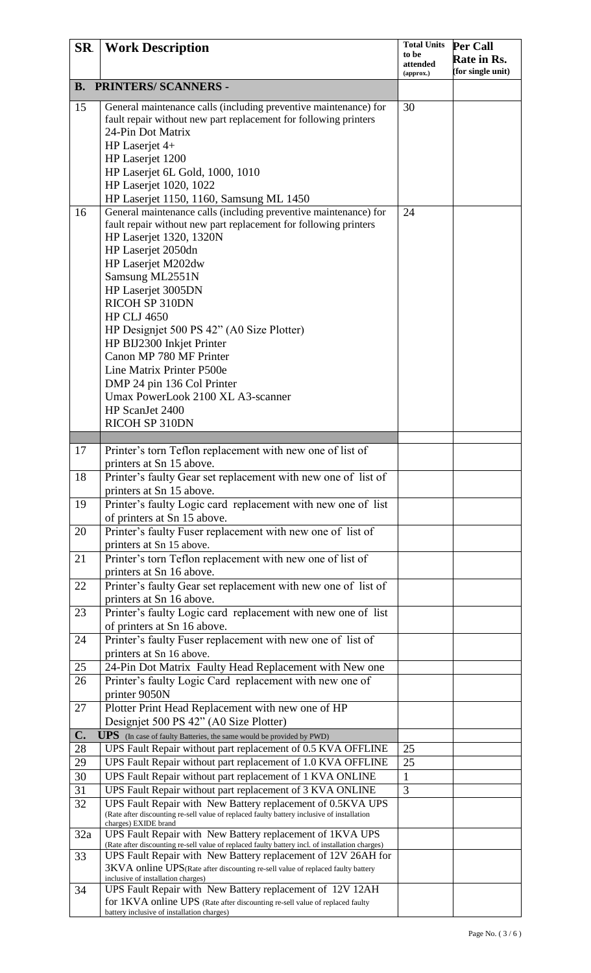| SR. | <b>Work Description</b>                                                                                                                                          | <b>Total Units</b>    | Per Call          |
|-----|------------------------------------------------------------------------------------------------------------------------------------------------------------------|-----------------------|-------------------|
|     |                                                                                                                                                                  | to be                 | Rate in Rs.       |
|     |                                                                                                                                                                  | attended<br>(approx.) | (for single unit) |
|     | <b>B. PRINTERS/SCANNERS -</b>                                                                                                                                    |                       |                   |
|     |                                                                                                                                                                  |                       |                   |
| 15  | General maintenance calls (including preventive maintenance) for                                                                                                 | 30                    |                   |
|     | fault repair without new part replacement for following printers                                                                                                 |                       |                   |
|     | 24-Pin Dot Matrix                                                                                                                                                |                       |                   |
|     | HP Laserjet 4+                                                                                                                                                   |                       |                   |
|     | HP Laserjet 1200                                                                                                                                                 |                       |                   |
|     | HP Laserjet 6L Gold, 1000, 1010                                                                                                                                  |                       |                   |
|     | <b>HP Laserjet 1020, 1022</b>                                                                                                                                    |                       |                   |
|     | HP Laserjet 1150, 1160, Samsung ML 1450                                                                                                                          |                       |                   |
| 16  | General maintenance calls (including preventive maintenance) for                                                                                                 | 24                    |                   |
|     | fault repair without new part replacement for following printers                                                                                                 |                       |                   |
|     | HP Laserjet 1320, 1320N                                                                                                                                          |                       |                   |
|     | HP Laserjet 2050dn                                                                                                                                               |                       |                   |
|     | HP Laserjet M202dw                                                                                                                                               |                       |                   |
|     | Samsung ML2551N                                                                                                                                                  |                       |                   |
|     | HP Laserjet 3005DN                                                                                                                                               |                       |                   |
|     | RICOH SP 310DN                                                                                                                                                   |                       |                   |
|     | <b>HP CLJ 4650</b>                                                                                                                                               |                       |                   |
|     | HP Designiet 500 PS 42" (A0 Size Plotter)                                                                                                                        |                       |                   |
|     | HP BIJ2300 Inkjet Printer                                                                                                                                        |                       |                   |
|     | Canon MP 780 MF Printer                                                                                                                                          |                       |                   |
|     | Line Matrix Printer P500e                                                                                                                                        |                       |                   |
|     | DMP 24 pin 136 Col Printer                                                                                                                                       |                       |                   |
|     | Umax PowerLook 2100 XL A3-scanner                                                                                                                                |                       |                   |
|     | HP ScanJet 2400                                                                                                                                                  |                       |                   |
|     | RICOH SP 310DN                                                                                                                                                   |                       |                   |
|     |                                                                                                                                                                  |                       |                   |
| 17  | Printer's torn Teflon replacement with new one of list of                                                                                                        |                       |                   |
|     | printers at Sn 15 above.                                                                                                                                         |                       |                   |
| 18  | Printer's faulty Gear set replacement with new one of list of                                                                                                    |                       |                   |
|     | printers at Sn 15 above.                                                                                                                                         |                       |                   |
| 19  | Printer's faulty Logic card replacement with new one of list                                                                                                     |                       |                   |
|     | of printers at Sn 15 above.                                                                                                                                      |                       |                   |
| 20  | Printer's faulty Fuser replacement with new one of list of                                                                                                       |                       |                   |
|     | printers at Sn 15 above.                                                                                                                                         |                       |                   |
| 21  | Printer's torn Teflon replacement with new one of list of                                                                                                        |                       |                   |
|     | printers at Sn 16 above.                                                                                                                                         |                       |                   |
| 22  | Printer's faulty Gear set replacement with new one of list of                                                                                                    |                       |                   |
|     | printers at Sn 16 above.                                                                                                                                         |                       |                   |
| 23  | Printer's faulty Logic card replacement with new one of list                                                                                                     |                       |                   |
|     | of printers at Sn 16 above.                                                                                                                                      |                       |                   |
| 24  | Printer's faulty Fuser replacement with new one of list of                                                                                                       |                       |                   |
|     | printers at Sn 16 above.                                                                                                                                         |                       |                   |
| 25  | 24-Pin Dot Matrix Faulty Head Replacement with New one                                                                                                           |                       |                   |
| 26  | Printer's faulty Logic Card replacement with new one of                                                                                                          |                       |                   |
|     | printer 9050N                                                                                                                                                    |                       |                   |
| 27  | Plotter Print Head Replacement with new one of HP                                                                                                                |                       |                   |
|     | Designjet 500 PS 42" (A0 Size Plotter)                                                                                                                           |                       |                   |
| C.  | <b>UPS</b> (In case of faulty Batteries, the same would be provided by PWD)                                                                                      |                       |                   |
| 28  | UPS Fault Repair without part replacement of 0.5 KVA OFFLINE                                                                                                     | 25                    |                   |
| 29  | UPS Fault Repair without part replacement of 1.0 KVA OFFLINE                                                                                                     | 25                    |                   |
| 30  | UPS Fault Repair without part replacement of 1 KVA ONLINE                                                                                                        | 1                     |                   |
| 31  | UPS Fault Repair without part replacement of 3 KVA ONLINE                                                                                                        | 3                     |                   |
| 32  | UPS Fault Repair with New Battery replacement of 0.5KVA UPS                                                                                                      |                       |                   |
|     | (Rate after discounting re-sell value of replaced faulty battery inclusive of installation                                                                       |                       |                   |
|     | charges) EXIDE brand                                                                                                                                             |                       |                   |
| 32a | UPS Fault Repair with New Battery replacement of 1KVA UPS                                                                                                        |                       |                   |
| 33  | (Rate after discounting re-sell value of replaced faulty battery incl. of installation charges)<br>UPS Fault Repair with New Battery replacement of 12V 26AH for |                       |                   |
|     | 3KVA online UPS(Rate after discounting re-sell value of replaced faulty battery                                                                                  |                       |                   |
|     | inclusive of installation charges)                                                                                                                               |                       |                   |
| 34  | UPS Fault Repair with New Battery replacement of 12V 12AH                                                                                                        |                       |                   |
|     | for 1KVA online UPS (Rate after discounting re-sell value of replaced faulty<br>battery inclusive of installation charges)                                       |                       |                   |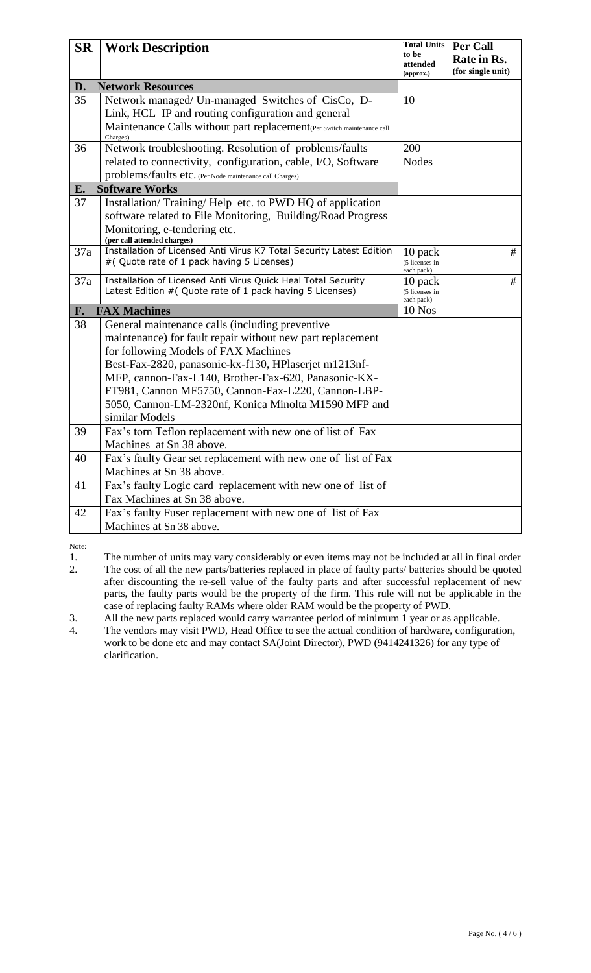| SR.             | <b>Work Description</b>                                                                        | <b>Total Units</b><br>to be<br>attended | Per Call<br>Rate in Rs. |
|-----------------|------------------------------------------------------------------------------------------------|-----------------------------------------|-------------------------|
|                 |                                                                                                | (approx.)                               | (for single unit)       |
| D.              | <b>Network Resources</b>                                                                       |                                         |                         |
| 35              | Network managed/ Un-managed Switches of CisCo, D-                                              | 10                                      |                         |
|                 | Link, HCL IP and routing configuration and general                                             |                                         |                         |
|                 | Maintenance Calls without part replacement <sub>(Per Switch maintenance call</sub><br>Charges) |                                         |                         |
| 36              | Network troubleshooting. Resolution of problems/faults                                         | 200                                     |                         |
|                 | related to connectivity, configuration, cable, I/O, Software                                   | <b>Nodes</b>                            |                         |
|                 | problems/faults etc. (Per Node maintenance call Charges)                                       |                                         |                         |
| E.              | <b>Software Works</b>                                                                          |                                         |                         |
| 37              | Installation/Training/Help etc. to PWD HQ of application                                       |                                         |                         |
|                 | software related to File Monitoring, Building/Road Progress                                    |                                         |                         |
|                 | Monitoring, e-tendering etc.<br>(per call attended charges)                                    |                                         |                         |
| 37a             | Installation of Licensed Anti Virus K7 Total Security Latest Edition                           | 10 pack                                 | #                       |
|                 | #( Quote rate of 1 pack having 5 Licenses)                                                     | (5 licenses in<br>each pack)            |                         |
| 37a             | Installation of Licensed Anti Virus Quick Heal Total Security                                  | 10 pack                                 | #                       |
|                 | Latest Edition # (Quote rate of 1 pack having 5 Licenses)                                      | (5 licenses in<br>each pack)            |                         |
| F.              | <b>FAX Machines</b>                                                                            | 10 Nos                                  |                         |
| $\overline{38}$ | General maintenance calls (including preventive                                                |                                         |                         |
|                 | maintenance) for fault repair without new part replacement                                     |                                         |                         |
|                 | for following Models of FAX Machines                                                           |                                         |                         |
|                 | Best-Fax-2820, panasonic-kx-f130, HPlaserjet m1213nf-                                          |                                         |                         |
|                 | MFP, cannon-Fax-L140, Brother-Fax-620, Panasonic-KX-                                           |                                         |                         |
|                 | FT981, Cannon MF5750, Cannon-Fax-L220, Cannon-LBP-                                             |                                         |                         |
|                 | 5050, Cannon-LM-2320nf, Konica Minolta M1590 MFP and                                           |                                         |                         |
|                 | similar Models                                                                                 |                                         |                         |
| 39              | Fax's torn Teflon replacement with new one of list of Fax                                      |                                         |                         |
|                 | Machines at Sn 38 above.                                                                       |                                         |                         |
| 40              | Fax's faulty Gear set replacement with new one of list of Fax                                  |                                         |                         |
|                 | Machines at Sn 38 above.                                                                       |                                         |                         |
| 41              | Fax's faulty Logic card replacement with new one of list of                                    |                                         |                         |
| 42              | Fax Machines at Sn 38 above.                                                                   |                                         |                         |
|                 | Fax's faulty Fuser replacement with new one of list of Fax<br>Machines at Sn 38 above.         |                                         |                         |
|                 |                                                                                                |                                         |                         |

Note:

1. The number of units may vary considerably or even items may not be included at all in final order<br>2. The cost of all the new parts/batteries replaced in place of faulty parts/ batteries should be quoted The cost of all the new parts/batteries replaced in place of faulty parts/ batteries should be quoted after discounting the re-sell value of the faulty parts and after successful replacement of new parts, the faulty parts would be the property of the firm. This rule will not be applicable in the case of replacing faulty RAMs where older RAM would be the property of PWD.

3. All the new parts replaced would carry warrantee period of minimum 1 year or as applicable.

4. The vendors may visit PWD, Head Office to see the actual condition of hardware, configuration, work to be done etc and may contact SA(Joint Director), PWD (9414241326) for any type of clarification.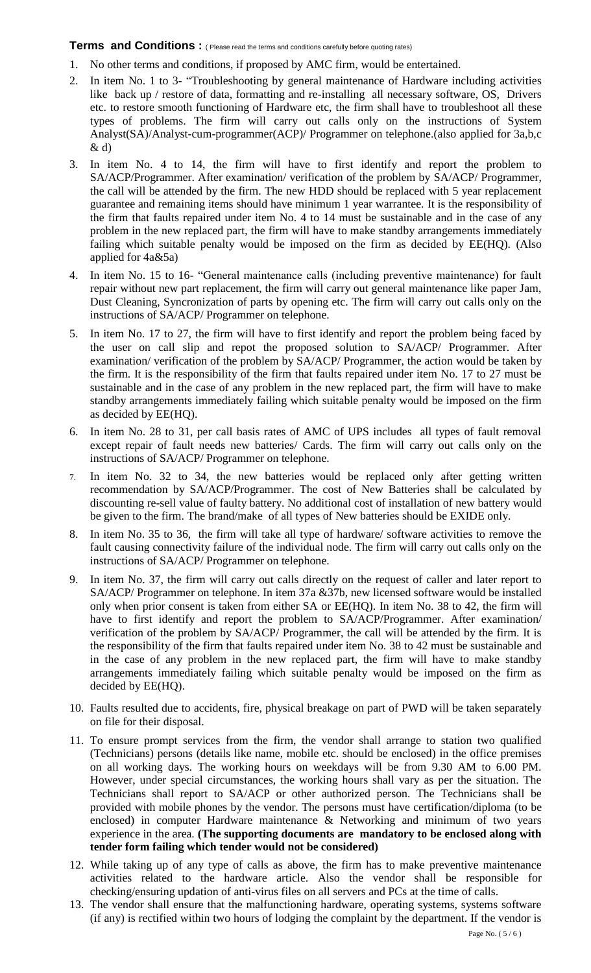#### **Terms and Conditions** : ( Please read the terms and conditions carefully before quoting rates)

- 1. No other terms and conditions, if proposed by AMC firm, would be entertained.
- 2. In item No. 1 to 3- "Troubleshooting by general maintenance of Hardware including activities like back up / restore of data, formatting and re-installing all necessary software, OS, Drivers etc. to restore smooth functioning of Hardware etc, the firm shall have to troubleshoot all these types of problems. The firm will carry out calls only on the instructions of System Analyst(SA)/Analyst-cum-programmer(ACP)/ Programmer on telephone.(also applied for 3a,b,c  $\&$  d)
- 3. In item No. 4 to 14, the firm will have to first identify and report the problem to SA/ACP/Programmer. After examination/ verification of the problem by SA/ACP/ Programmer, the call will be attended by the firm. The new HDD should be replaced with 5 year replacement guarantee and remaining items should have minimum 1 year warrantee. It is the responsibility of the firm that faults repaired under item No. 4 to 14 must be sustainable and in the case of any problem in the new replaced part, the firm will have to make standby arrangements immediately failing which suitable penalty would be imposed on the firm as decided by EE(HQ). (Also applied for 4a&5a)
- 4. In item No. 15 to 16- "General maintenance calls (including preventive maintenance) for fault repair without new part replacement, the firm will carry out general maintenance like paper Jam, Dust Cleaning, Syncronization of parts by opening etc. The firm will carry out calls only on the instructions of SA/ACP/ Programmer on telephone.
- 5. In item No. 17 to 27, the firm will have to first identify and report the problem being faced by the user on call slip and repot the proposed solution to SA/ACP/ Programmer. After examination/ verification of the problem by SA/ACP/ Programmer, the action would be taken by the firm. It is the responsibility of the firm that faults repaired under item No. 17 to 27 must be sustainable and in the case of any problem in the new replaced part, the firm will have to make standby arrangements immediately failing which suitable penalty would be imposed on the firm as decided by EE(HQ).
- 6. In item No. 28 to 31, per call basis rates of AMC of UPS includes all types of fault removal except repair of fault needs new batteries/ Cards. The firm will carry out calls only on the instructions of SA/ACP/ Programmer on telephone.
- In item No. 32 to 34, the new batteries would be replaced only after getting written recommendation by SA/ACP/Programmer. The cost of New Batteries shall be calculated by discounting re-sell value of faulty battery. No additional cost of installation of new battery would be given to the firm. The brand/make of all types of New batteries should be EXIDE only.
- 8. In item No. 35 to 36, the firm will take all type of hardware/ software activities to remove the fault causing connectivity failure of the individual node. The firm will carry out calls only on the instructions of SA/ACP/ Programmer on telephone.
- 9. In item No. 37, the firm will carry out calls directly on the request of caller and later report to SA/ACP/ Programmer on telephone. In item 37a &37b, new licensed software would be installed only when prior consent is taken from either SA or EE(HQ). In item No. 38 to 42, the firm will have to first identify and report the problem to SA/ACP/Programmer. After examination/ verification of the problem by SA/ACP/ Programmer, the call will be attended by the firm. It is the responsibility of the firm that faults repaired under item No. 38 to 42 must be sustainable and in the case of any problem in the new replaced part, the firm will have to make standby arrangements immediately failing which suitable penalty would be imposed on the firm as decided by EE(HQ).
- 10. Faults resulted due to accidents, fire, physical breakage on part of PWD will be taken separately on file for their disposal.
- 11. To ensure prompt services from the firm, the vendor shall arrange to station two qualified (Technicians) persons (details like name, mobile etc. should be enclosed) in the office premises on all working days. The working hours on weekdays will be from 9.30 AM to 6.00 PM. However, under special circumstances, the working hours shall vary as per the situation. The Technicians shall report to SA/ACP or other authorized person. The Technicians shall be provided with mobile phones by the vendor. The persons must have certification/diploma (to be enclosed) in computer Hardware maintenance & Networking and minimum of two years experience in the area. **(The supporting documents are mandatory to be enclosed along with tender form failing which tender would not be considered)**
- 12. While taking up of any type of calls as above, the firm has to make preventive maintenance activities related to the hardware article. Also the vendor shall be responsible for checking/ensuring updation of anti-virus files on all servers and PCs at the time of calls.
- 13. The vendor shall ensure that the malfunctioning hardware, operating systems, systems software (if any) is rectified within two hours of lodging the complaint by the department. If the vendor is